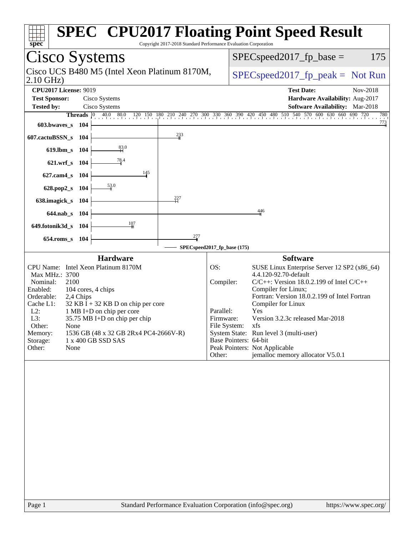| Spec<br>Copyright 2017-2018 Standard Performance Evaluation Corporation                                                                                                                                                                                                                                                                                                                                                 | <b>SPEC<sup>®</sup> CPU2017 Floating Point Speed Result</b>                                                                                                                                                                                                                                                                                                                                                                                                                                           |
|-------------------------------------------------------------------------------------------------------------------------------------------------------------------------------------------------------------------------------------------------------------------------------------------------------------------------------------------------------------------------------------------------------------------------|-------------------------------------------------------------------------------------------------------------------------------------------------------------------------------------------------------------------------------------------------------------------------------------------------------------------------------------------------------------------------------------------------------------------------------------------------------------------------------------------------------|
| <b>Cisco Systems</b>                                                                                                                                                                                                                                                                                                                                                                                                    | 175<br>$SPEC speed2017_fp\_base =$                                                                                                                                                                                                                                                                                                                                                                                                                                                                    |
| Cisco UCS B480 M5 (Intel Xeon Platinum 8170M,<br>$2.10$ GHz)                                                                                                                                                                                                                                                                                                                                                            | $SPEC speed2017rfp peak = Not Run$                                                                                                                                                                                                                                                                                                                                                                                                                                                                    |
| <b>CPU2017 License: 9019</b><br><b>Test Sponsor:</b><br>Cisco Systems<br><b>Tested by:</b><br>Cisco Systems<br><b>Threads</b> $\begin{bmatrix} 0 \end{bmatrix}$<br>603.bwaves_s<br>- 104<br>$\frac{233}{4}$<br>607.cactuBSSN_s<br>- 104                                                                                                                                                                                 | <b>Test Date:</b><br>Nov-2018<br>Hardware Availability: Aug-2017<br><b>Software Availability:</b> Mar-2018<br>40.0 80.0 120 150 180 210 240 270 300 330 360 390 420 450 480 510 540 570 600 630 660 690 720<br>780<br>$\frac{773}{4}$                                                                                                                                                                                                                                                                 |
| $\frac{83.0}{4}$<br>619.lbm_s<br>- 104<br>$\frac{78.4}{9}$<br>621.wrf_s 104<br>145<br>$627$ .cam $4_s$<br>- 104<br>53.0<br>628.pop2_s<br>- 104<br>227<br>638.imagick_s<br>104<br>$644.nab_s$<br>- 104<br>$\frac{107}{1}$<br>649.fotonik3d_s 104<br>277<br>$654$ .roms_s<br>- 104                                                                                                                                        | 446<br>SPECspeed2017_fp_base (175)                                                                                                                                                                                                                                                                                                                                                                                                                                                                    |
| <b>Hardware</b><br>CPU Name: Intel Xeon Platinum 8170M<br>Max MHz.: 3700<br>Nominal:<br>2100<br>Enabled:<br>104 cores, 4 chips<br>Orderable:<br>2,4 Chips<br>Cache L1:<br>$32$ KB I + 32 KB D on chip per core<br>$L2$ :<br>1 MB I+D on chip per core<br>L3:<br>35.75 MB I+D on chip per chip<br>Other:<br>None<br>1536 GB (48 x 32 GB 2Rx4 PC4-2666V-R)<br>Memory:<br>1 x 400 GB SSD SAS<br>Storage:<br>Other:<br>None | <b>Software</b><br>OS:<br>SUSE Linux Enterprise Server 12 SP2 (x86_64)<br>4.4.120-92.70-default<br>$C/C++$ : Version 18.0.2.199 of Intel $C/C++$<br>Compiler:<br>Compiler for Linux;<br>Fortran: Version 18.0.2.199 of Intel Fortran<br>Compiler for Linux<br>Parallel:<br>Yes<br>Version 3.2.3c released Mar-2018<br>Firmware:<br>File System: xfs<br>System State: Run level 3 (multi-user)<br>Base Pointers: 64-bit<br>Peak Pointers: Not Applicable<br>jemalloc memory allocator V5.0.1<br>Other: |
|                                                                                                                                                                                                                                                                                                                                                                                                                         |                                                                                                                                                                                                                                                                                                                                                                                                                                                                                                       |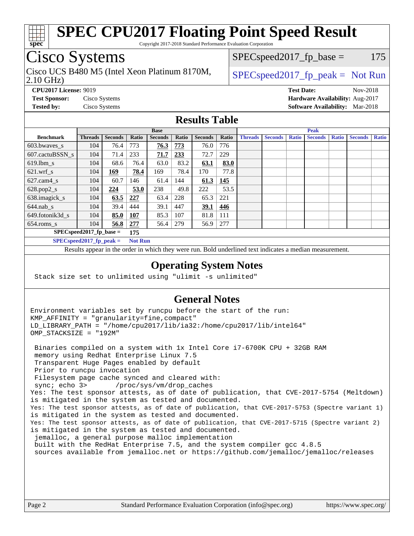

Copyright 2017-2018 Standard Performance Evaluation Corporation

## Cisco Systems

Cisco UCS B480 M5 (Intel Xeon Platinum 8170M,  $\big|$  [SPECspeed2017\\_fp\\_peak =](http://www.spec.org/auto/cpu2017/Docs/result-fields.html#SPECspeed2017fppeak) Not Run

 $SPEC speed2017_fp\_base = 175$ 

#### 2.10 GHz)

**[CPU2017 License:](http://www.spec.org/auto/cpu2017/Docs/result-fields.html#CPU2017License)** 9019 **[Test Date:](http://www.spec.org/auto/cpu2017/Docs/result-fields.html#TestDate)** Nov-2018 **[Test Sponsor:](http://www.spec.org/auto/cpu2017/Docs/result-fields.html#TestSponsor)** Cisco Systems **[Hardware Availability:](http://www.spec.org/auto/cpu2017/Docs/result-fields.html#HardwareAvailability)** Aug-2017 **[Tested by:](http://www.spec.org/auto/cpu2017/Docs/result-fields.html#Testedby)** Cisco Systems **[Software Availability:](http://www.spec.org/auto/cpu2017/Docs/result-fields.html#SoftwareAvailability)** Mar-2018

### **[Results Table](http://www.spec.org/auto/cpu2017/Docs/result-fields.html#ResultsTable)**

|                                    | <b>Base</b>    |                |                |                | <b>Peak</b> |                |       |                |                |              |                |              |                |              |
|------------------------------------|----------------|----------------|----------------|----------------|-------------|----------------|-------|----------------|----------------|--------------|----------------|--------------|----------------|--------------|
| <b>Benchmark</b>                   | <b>Threads</b> | <b>Seconds</b> | Ratio          | <b>Seconds</b> | Ratio       | <b>Seconds</b> | Ratio | <b>Threads</b> | <b>Seconds</b> | <b>Ratio</b> | <b>Seconds</b> | <b>Ratio</b> | <b>Seconds</b> | <b>Ratio</b> |
| 603.bwayes s                       | 104            | 76.4           | 773            | 76.3           | 773         | 76.0           | 776   |                |                |              |                |              |                |              |
| 607.cactuBSSN s                    | 104            | 71.4           | 233            | 71.7           | 233         | 72.7           | 229   |                |                |              |                |              |                |              |
| $619.$ lbm s                       | 104            | 68.6           | 76.4           | 63.0           | 83.2        | 63.1           | 83.0  |                |                |              |                |              |                |              |
| $621.wrf$ s                        | 104            | 169            | 78.4           | 169            | 78.4        | 170            | 77.8  |                |                |              |                |              |                |              |
| $627$ .cam $4$ <sub>s</sub>        | 104            | 60.7           | 146            | 61.4           | 144         | 61.3           | 145   |                |                |              |                |              |                |              |
| $628.pop2_s$                       | 104            | 224            | 53.0           | 238            | 49.8        | 222            | 53.5  |                |                |              |                |              |                |              |
| 638.imagick_s                      | 104            | 63.5           | 227            | 63.4           | 228         | 65.3           | 221   |                |                |              |                |              |                |              |
| $644$ .nab s                       | 104            | 39.4           | 444            | 39.1           | 447         | 39.1           | 446   |                |                |              |                |              |                |              |
| 649.fotonik3d s                    | 104            | 85.0           | 107            | 85.3           | 107         | 81.8           | 111   |                |                |              |                |              |                |              |
| $654$ .roms s                      | 104            | 56.8           | 277            | 56.4           | 279         | 56.9           | 277   |                |                |              |                |              |                |              |
| $SPEC speed2017_fp\_base =$<br>175 |                |                |                |                |             |                |       |                |                |              |                |              |                |              |
| SPECspeed 2017 fp peak $=$         |                |                | <b>Not Run</b> |                |             |                |       |                |                |              |                |              |                |              |

Results appear in the [order in which they were run.](http://www.spec.org/auto/cpu2017/Docs/result-fields.html#RunOrder) Bold underlined text [indicates a median measurement](http://www.spec.org/auto/cpu2017/Docs/result-fields.html#Median).

### **[Operating System Notes](http://www.spec.org/auto/cpu2017/Docs/result-fields.html#OperatingSystemNotes)**

Stack size set to unlimited using "ulimit -s unlimited"

### **[General Notes](http://www.spec.org/auto/cpu2017/Docs/result-fields.html#GeneralNotes)**

Environment variables set by runcpu before the start of the run: KMP\_AFFINITY = "granularity=fine,compact" LD\_LIBRARY\_PATH = "/home/cpu2017/lib/ia32:/home/cpu2017/lib/intel64" OMP\_STACKSIZE = "192M"

 Binaries compiled on a system with 1x Intel Core i7-6700K CPU + 32GB RAM memory using Redhat Enterprise Linux 7.5 Transparent Huge Pages enabled by default Prior to runcpu invocation Filesystem page cache synced and cleared with: sync; echo 3> /proc/sys/vm/drop\_caches Yes: The test sponsor attests, as of date of publication, that CVE-2017-5754 (Meltdown) is mitigated in the system as tested and documented. Yes: The test sponsor attests, as of date of publication, that CVE-2017-5753 (Spectre variant 1) is mitigated in the system as tested and documented. Yes: The test sponsor attests, as of date of publication, that CVE-2017-5715 (Spectre variant 2) is mitigated in the system as tested and documented. jemalloc, a general purpose malloc implementation built with the RedHat Enterprise 7.5, and the system compiler gcc 4.8.5 sources available from jemalloc.net or<https://github.com/jemalloc/jemalloc/releases>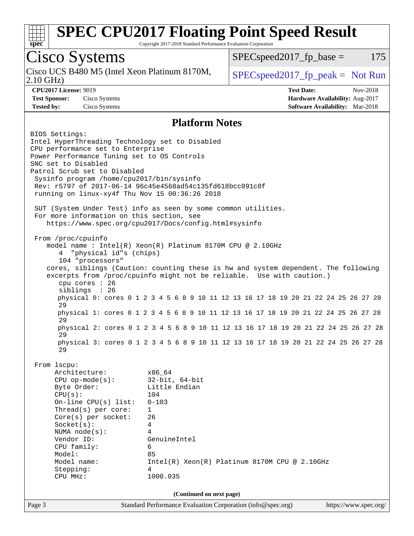

Copyright 2017-2018 Standard Performance Evaluation Corporation

## Cisco Systems

2.10 GHz) Cisco UCS B480 M5 (Intel Xeon Platinum 8170M,  $\big|$  [SPECspeed2017\\_fp\\_peak =](http://www.spec.org/auto/cpu2017/Docs/result-fields.html#SPECspeed2017fppeak) Not Run

 $SPEC speed2017<sub>fp</sub> base = 175$ 

**[CPU2017 License:](http://www.spec.org/auto/cpu2017/Docs/result-fields.html#CPU2017License)** 9019 **[Test Date:](http://www.spec.org/auto/cpu2017/Docs/result-fields.html#TestDate)** Nov-2018 **[Test Sponsor:](http://www.spec.org/auto/cpu2017/Docs/result-fields.html#TestSponsor)** Cisco Systems **[Hardware Availability:](http://www.spec.org/auto/cpu2017/Docs/result-fields.html#HardwareAvailability)** Aug-2017 **[Tested by:](http://www.spec.org/auto/cpu2017/Docs/result-fields.html#Testedby)** Cisco Systems **[Software Availability:](http://www.spec.org/auto/cpu2017/Docs/result-fields.html#SoftwareAvailability)** Mar-2018

### **[Platform Notes](http://www.spec.org/auto/cpu2017/Docs/result-fields.html#PlatformNotes)**

Page 3 Standard Performance Evaluation Corporation [\(info@spec.org\)](mailto:info@spec.org) <https://www.spec.org/> BIOS Settings: Intel HyperThreading Technology set to Disabled CPU performance set to Enterprise Power Performance Tuning set to OS Controls SNC set to Disabled Patrol Scrub set to Disabled Sysinfo program /home/cpu2017/bin/sysinfo Rev: r5797 of 2017-06-14 96c45e4568ad54c135fd618bcc091c0f running on linux-xy4f Thu Nov 15 00:36:26 2018 SUT (System Under Test) info as seen by some common utilities. For more information on this section, see <https://www.spec.org/cpu2017/Docs/config.html#sysinfo> From /proc/cpuinfo model name : Intel(R) Xeon(R) Platinum 8170M CPU @ 2.10GHz 4 "physical id"s (chips) 104 "processors" cores, siblings (Caution: counting these is hw and system dependent. The following excerpts from /proc/cpuinfo might not be reliable. Use with caution.) cpu cores : 26 siblings : 26 physical 0: cores 0 1 2 3 4 5 6 8 9 10 11 12 13 16 17 18 19 20 21 22 24 25 26 27 28 29 physical 1: cores 0 1 2 3 4 5 6 8 9 10 11 12 13 16 17 18 19 20 21 22 24 25 26 27 28 29 physical 2: cores 0 1 2 3 4 5 6 8 9 10 11 12 13 16 17 18 19 20 21 22 24 25 26 27 28 29 physical 3: cores 0 1 2 3 4 5 6 8 9 10 11 12 13 16 17 18 19 20 21 22 24 25 26 27 28 29 From lscpu: Architecture: x86\_64 CPU op-mode(s): 32-bit, 64-bit Byte Order: Little Endian CPU(s): 104 On-line CPU(s) list: 0-103 Thread(s) per core: 1 Core(s) per socket: 26 Socket(s): 4 NUMA node(s): 4 Vendor ID: GenuineIntel CPU family: 6 Model: 85 Model name: Intel(R) Xeon(R) Platinum 8170M CPU @ 2.10GHz Stepping: 4 CPU MHz: 1000.035 **(Continued on next page)**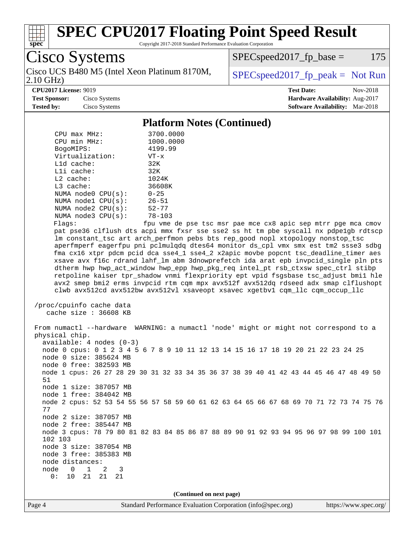

Copyright 2017-2018 Standard Performance Evaluation Corporation

Cisco Systems Cisco UCS B480 M5 (Intel Xeon Platinum 8170M,  $\big|$  [SPECspeed2017\\_fp\\_peak =](http://www.spec.org/auto/cpu2017/Docs/result-fields.html#SPECspeed2017fppeak) Not Run

 $SPEC speed2017<sub>fp</sub> base = 175$ 

2.10 GHz)

#### **[CPU2017 License:](http://www.spec.org/auto/cpu2017/Docs/result-fields.html#CPU2017License)** 9019 **[Test Date:](http://www.spec.org/auto/cpu2017/Docs/result-fields.html#TestDate)** Nov-2018

**[Test Sponsor:](http://www.spec.org/auto/cpu2017/Docs/result-fields.html#TestSponsor)** Cisco Systems **[Hardware Availability:](http://www.spec.org/auto/cpu2017/Docs/result-fields.html#HardwareAvailability)** Aug-2017 **[Tested by:](http://www.spec.org/auto/cpu2017/Docs/result-fields.html#Testedby)** Cisco Systems **[Software Availability:](http://www.spec.org/auto/cpu2017/Docs/result-fields.html#SoftwareAvailability)** Mar-2018

### **[Platform Notes \(Continued\)](http://www.spec.org/auto/cpu2017/Docs/result-fields.html#PlatformNotes)**

| $CPU$ max $MHz$ :       | 3700.0000  |
|-------------------------|------------|
| CPU min MHz:            | 1000.0000  |
| BogoMIPS:               | 4199.99    |
| Virtualization:         | $VT - x$   |
| $L1d$ cache:            | 32K        |
| Lli cache:              | 32K        |
| $L2$ cache:             | 1024K      |
| $L3$ cache:             | 36608K     |
| NUMA $node0$ $CPU(s)$ : | $0 - 25$   |
| NUMA $node1$ $CPU(s)$ : | $26 - 51$  |
| NUMA node2 CPU(s):      | $52 - 77$  |
| NUMA $node3$ $CPU(s)$ : | $78 - 103$ |
| Flanc:                  | fnu wme de |

fpu vme de pse tsc msr pae mce cx8 apic sep mtrr pge mca cmov pat pse36 clflush dts acpi mmx fxsr sse sse2 ss ht tm pbe syscall nx pdpe1gb rdtscp lm constant\_tsc art arch\_perfmon pebs bts rep\_good nopl xtopology nonstop\_tsc aperfmperf eagerfpu pni pclmulqdq dtes64 monitor ds\_cpl vmx smx est tm2 ssse3 sdbg fma cx16 xtpr pdcm pcid dca sse4\_1 sse4\_2 x2apic movbe popcnt tsc\_deadline\_timer aes xsave avx f16c rdrand lahf\_lm abm 3dnowprefetch ida arat epb invpcid\_single pln pts dtherm hwp hwp\_act\_window hwp\_epp hwp\_pkg\_req intel\_pt rsb\_ctxsw spec\_ctrl stibp retpoline kaiser tpr\_shadow vnmi flexpriority ept vpid fsgsbase tsc\_adjust bmi1 hle avx2 smep bmi2 erms invpcid rtm cqm mpx avx512f avx512dq rdseed adx smap clflushopt clwb avx512cd avx512bw avx512vl xsaveopt xsavec xgetbv1 cqm\_llc cqm\_occup\_llc

```
 /proc/cpuinfo cache data
cache size : 36608 KB
```
 From numactl --hardware WARNING: a numactl 'node' might or might not correspond to a physical chip. available: 4 nodes (0-3) node 0 cpus: 0 1 2 3 4 5 6 7 8 9 10 11 12 13 14 15 16 17 18 19 20 21 22 23 24 25 node 0 size: 385624 MB node 0 free: 382593 MB node 1 cpus: 26 27 28 29 30 31 32 33 34 35 36 37 38 39 40 41 42 43 44 45 46 47 48 49 50 51 node 1 size: 387057 MB node 1 free: 384042 MB node 2 cpus: 52 53 54 55 56 57 58 59 60 61 62 63 64 65 66 67 68 69 70 71 72 73 74 75 76 77 node 2 size: 387057 MB node 2 free: 385447 MB node 3 cpus: 78 79 80 81 82 83 84 85 86 87 88 89 90 91 92 93 94 95 96 97 98 99 100 101 102 103 node 3 size: 387054 MB node 3 free: 385383 MB node distances: node 0 1 2 3 0: 10 21 21 21

**(Continued on next page)**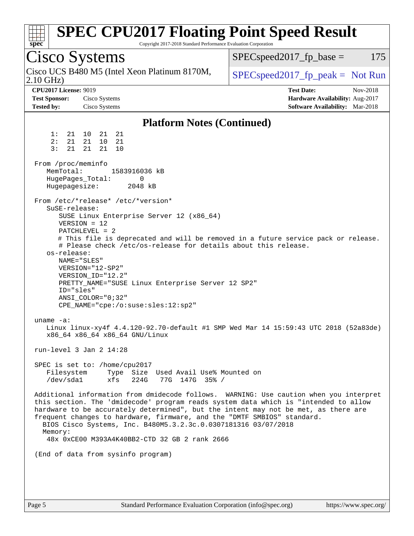| <b>SPEC CPU2017 Floating Point Speed Result</b><br>spec<br>Copyright 2017-2018 Standard Performance Evaluation Corporation                                                                                                                                                                                                                                                                                                                                                                                                                                                                                                                                                                                                                                                                                                                                                                                                                                                                                                                                                                                   |                                                                                                            |  |  |  |
|--------------------------------------------------------------------------------------------------------------------------------------------------------------------------------------------------------------------------------------------------------------------------------------------------------------------------------------------------------------------------------------------------------------------------------------------------------------------------------------------------------------------------------------------------------------------------------------------------------------------------------------------------------------------------------------------------------------------------------------------------------------------------------------------------------------------------------------------------------------------------------------------------------------------------------------------------------------------------------------------------------------------------------------------------------------------------------------------------------------|------------------------------------------------------------------------------------------------------------|--|--|--|
| <b>Cisco Systems</b>                                                                                                                                                                                                                                                                                                                                                                                                                                                                                                                                                                                                                                                                                                                                                                                                                                                                                                                                                                                                                                                                                         | $SPEC speed2017_fp\_base =$<br>175                                                                         |  |  |  |
| Cisco UCS B480 M5 (Intel Xeon Platinum 8170M,<br>$2.10$ GHz)                                                                                                                                                                                                                                                                                                                                                                                                                                                                                                                                                                                                                                                                                                                                                                                                                                                                                                                                                                                                                                                 | $SPEC speed2017_fp\_peak = Not Run$                                                                        |  |  |  |
| <b>CPU2017 License: 9019</b><br><b>Test Sponsor:</b><br>Cisco Systems<br><b>Tested by:</b><br>Cisco Systems                                                                                                                                                                                                                                                                                                                                                                                                                                                                                                                                                                                                                                                                                                                                                                                                                                                                                                                                                                                                  | <b>Test Date:</b><br>Nov-2018<br>Hardware Availability: Aug-2017<br><b>Software Availability:</b> Mar-2018 |  |  |  |
| <b>Platform Notes (Continued)</b>                                                                                                                                                                                                                                                                                                                                                                                                                                                                                                                                                                                                                                                                                                                                                                                                                                                                                                                                                                                                                                                                            |                                                                                                            |  |  |  |
| 1:<br>21<br>21<br>21 10<br>2:<br>21<br>10<br>21<br>21<br>3:<br>21<br>21<br>21<br>10<br>From /proc/meminfo<br>MemTotal:<br>1583916036 kB<br>HugePages_Total:<br>0<br>Hugepagesize:<br>2048 kB<br>From /etc/*release* /etc/*version*<br>$S$ uSE-release:<br>SUSE Linux Enterprise Server 12 (x86_64)<br>$VERSION = 12$<br>PATCHLEVEL = 2<br># This file is deprecated and will be removed in a future service pack or release.<br># Please check /etc/os-release for details about this release.<br>os-release:<br>NAME="SLES"<br>VERSION="12-SP2"<br>VERSION_ID="12.2"<br>PRETTY_NAME="SUSE Linux Enterprise Server 12 SP2"<br>ID="sles"<br>ANSI_COLOR="0;32"<br>CPE_NAME="cpe:/o:suse:sles:12:sp2"<br>uname $-a$ :<br>Linux linux-xy4f 4.4.120-92.70-default #1 SMP Wed Mar 14 15:59:43 UTC 2018 (52a83de)<br>x86_64 x86_64 x86_64 GNU/Linux<br>run-level $3$ Jan $2$ $14:28$<br>SPEC is set to: /home/cpu2017<br>Filesystem<br>Type Size Used Avail Use% Mounted on<br>/dev/sda1<br>xfs<br>224G<br>77G 147G 35% /<br>Additional information from dmidecode follows. WARNING: Use caution when you interpret |                                                                                                            |  |  |  |
| this section. The 'dmidecode' program reads system data which is "intended to allow<br>hardware to be accurately determined", but the intent may not be met, as there are<br>frequent changes to hardware, firmware, and the "DMTF SMBIOS" standard.<br>BIOS Cisco Systems, Inc. B480M5.3.2.3c.0.0307181316 03/07/2018<br>Memory:<br>48x 0xCE00 M393A4K40BB2-CTD 32 GB 2 rank 2666                                                                                                                                                                                                                                                                                                                                                                                                                                                                                                                                                                                                                                                                                                                           |                                                                                                            |  |  |  |
| (End of data from sysinfo program)                                                                                                                                                                                                                                                                                                                                                                                                                                                                                                                                                                                                                                                                                                                                                                                                                                                                                                                                                                                                                                                                           |                                                                                                            |  |  |  |
|                                                                                                                                                                                                                                                                                                                                                                                                                                                                                                                                                                                                                                                                                                                                                                                                                                                                                                                                                                                                                                                                                                              |                                                                                                            |  |  |  |
|                                                                                                                                                                                                                                                                                                                                                                                                                                                                                                                                                                                                                                                                                                                                                                                                                                                                                                                                                                                                                                                                                                              |                                                                                                            |  |  |  |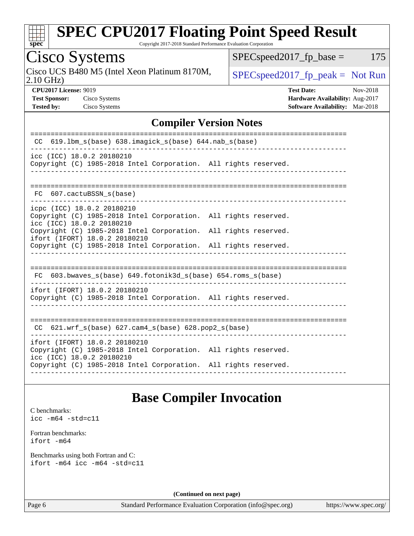

Copyright 2017-2018 Standard Performance Evaluation Corporation

Cisco Systems

Cisco UCS B480 M5 (Intel Xeon Platinum 8170M,  $SPECspeed2017_fp\_peak = Not Run$ 

 $SPEC speed2017_fp\_base = 175$ 

2.10 GHz)

**[Tested by:](http://www.spec.org/auto/cpu2017/Docs/result-fields.html#Testedby)** Cisco Systems **[Software Availability:](http://www.spec.org/auto/cpu2017/Docs/result-fields.html#SoftwareAvailability)** Mar-2018

**[CPU2017 License:](http://www.spec.org/auto/cpu2017/Docs/result-fields.html#CPU2017License)** 9019 **[Test Date:](http://www.spec.org/auto/cpu2017/Docs/result-fields.html#TestDate)** Nov-2018 **[Test Sponsor:](http://www.spec.org/auto/cpu2017/Docs/result-fields.html#TestSponsor)** Cisco Systems **[Hardware Availability:](http://www.spec.org/auto/cpu2017/Docs/result-fields.html#HardwareAvailability)** Aug-2017

### **[Compiler Version Notes](http://www.spec.org/auto/cpu2017/Docs/result-fields.html#CompilerVersionNotes)**

| 619.1bm_s(base) 638.imagick_s(base) 644.nab_s(base)<br>CC.                                                                                                                                                                                                                                        |  |  |  |  |  |  |  |
|---------------------------------------------------------------------------------------------------------------------------------------------------------------------------------------------------------------------------------------------------------------------------------------------------|--|--|--|--|--|--|--|
| icc (ICC) 18.0.2 20180210<br>Copyright (C) 1985-2018 Intel Corporation. All rights reserved.                                                                                                                                                                                                      |  |  |  |  |  |  |  |
| FC 607. cactuBSSN s(base)                                                                                                                                                                                                                                                                         |  |  |  |  |  |  |  |
| icpc (ICC) 18.0.2 20180210<br>Copyright (C) 1985-2018 Intel Corporation. All rights reserved.<br>icc (ICC) 18.0.2 20180210<br>Copyright (C) 1985-2018 Intel Corporation. All rights reserved.<br>ifort (IFORT) 18.0.2 20180210<br>Copyright (C) 1985-2018 Intel Corporation. All rights reserved. |  |  |  |  |  |  |  |
| -----------------------<br>FC 603.bwaves s(base) 649.fotonik3d s(base) 654.roms s(base)                                                                                                                                                                                                           |  |  |  |  |  |  |  |
| ifort (IFORT) 18.0.2 20180210<br>Copyright (C) 1985-2018 Intel Corporation. All rights reserved.                                                                                                                                                                                                  |  |  |  |  |  |  |  |
| ---------------------------------<br>$CC$ 621.wrf $s(base)$ 627.cam4 $s(base)$ 628.pop2 $s(base)$                                                                                                                                                                                                 |  |  |  |  |  |  |  |
| ifort (IFORT) 18.0.2 20180210<br>Copyright (C) 1985-2018 Intel Corporation. All rights reserved.<br>icc (ICC) 18.0.2 20180210<br>Copyright (C) 1985-2018 Intel Corporation. All rights reserved.                                                                                                  |  |  |  |  |  |  |  |
|                                                                                                                                                                                                                                                                                                   |  |  |  |  |  |  |  |

### **[Base Compiler Invocation](http://www.spec.org/auto/cpu2017/Docs/result-fields.html#BaseCompilerInvocation)**

[C benchmarks](http://www.spec.org/auto/cpu2017/Docs/result-fields.html#Cbenchmarks): [icc -m64 -std=c11](http://www.spec.org/cpu2017/results/res2018q4/cpu2017-20181127-09981.flags.html#user_CCbase_intel_icc_64bit_c11_33ee0cdaae7deeeab2a9725423ba97205ce30f63b9926c2519791662299b76a0318f32ddfffdc46587804de3178b4f9328c46fa7c2b0cd779d7a61945c91cd35)

[Fortran benchmarks](http://www.spec.org/auto/cpu2017/Docs/result-fields.html#Fortranbenchmarks): [ifort -m64](http://www.spec.org/cpu2017/results/res2018q4/cpu2017-20181127-09981.flags.html#user_FCbase_intel_ifort_64bit_24f2bb282fbaeffd6157abe4f878425411749daecae9a33200eee2bee2fe76f3b89351d69a8130dd5949958ce389cf37ff59a95e7a40d588e8d3a57e0c3fd751)

[Benchmarks using both Fortran and C](http://www.spec.org/auto/cpu2017/Docs/result-fields.html#BenchmarksusingbothFortranandC): [ifort -m64](http://www.spec.org/cpu2017/results/res2018q4/cpu2017-20181127-09981.flags.html#user_CC_FCbase_intel_ifort_64bit_24f2bb282fbaeffd6157abe4f878425411749daecae9a33200eee2bee2fe76f3b89351d69a8130dd5949958ce389cf37ff59a95e7a40d588e8d3a57e0c3fd751) [icc -m64 -std=c11](http://www.spec.org/cpu2017/results/res2018q4/cpu2017-20181127-09981.flags.html#user_CC_FCbase_intel_icc_64bit_c11_33ee0cdaae7deeeab2a9725423ba97205ce30f63b9926c2519791662299b76a0318f32ddfffdc46587804de3178b4f9328c46fa7c2b0cd779d7a61945c91cd35)

**(Continued on next page)**

Page 6 Standard Performance Evaluation Corporation [\(info@spec.org\)](mailto:info@spec.org) <https://www.spec.org/>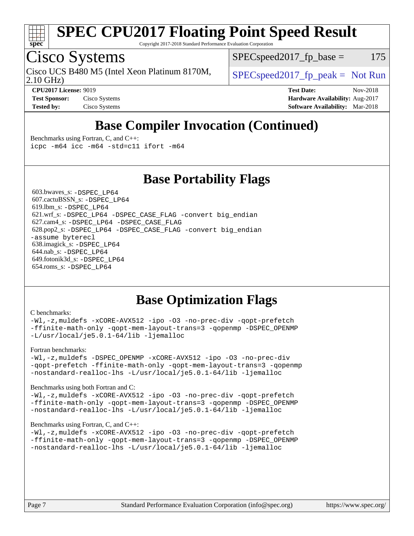

Copyright 2017-2018 Standard Performance Evaluation Corporation

## Cisco Systems

Cisco UCS B480 M5 (Intel Xeon Platinum 8170M,  $\big|$  [SPECspeed2017\\_fp\\_peak =](http://www.spec.org/auto/cpu2017/Docs/result-fields.html#SPECspeed2017fppeak) Not Run

 $SPEC speed2017_fp\_base = 175$ 

2.10 GHz)

**[Test Sponsor:](http://www.spec.org/auto/cpu2017/Docs/result-fields.html#TestSponsor)** Cisco Systems **[Hardware Availability:](http://www.spec.org/auto/cpu2017/Docs/result-fields.html#HardwareAvailability)** Aug-2017

**[CPU2017 License:](http://www.spec.org/auto/cpu2017/Docs/result-fields.html#CPU2017License)** 9019 **[Test Date:](http://www.spec.org/auto/cpu2017/Docs/result-fields.html#TestDate)** Nov-2018 **[Tested by:](http://www.spec.org/auto/cpu2017/Docs/result-fields.html#Testedby)** Cisco Systems **[Software Availability:](http://www.spec.org/auto/cpu2017/Docs/result-fields.html#SoftwareAvailability)** Mar-2018

## **[Base Compiler Invocation \(Continued\)](http://www.spec.org/auto/cpu2017/Docs/result-fields.html#BaseCompilerInvocation)**

[Benchmarks using Fortran, C, and C++:](http://www.spec.org/auto/cpu2017/Docs/result-fields.html#BenchmarksusingFortranCandCXX) [icpc -m64](http://www.spec.org/cpu2017/results/res2018q4/cpu2017-20181127-09981.flags.html#user_CC_CXX_FCbase_intel_icpc_64bit_4ecb2543ae3f1412ef961e0650ca070fec7b7afdcd6ed48761b84423119d1bf6bdf5cad15b44d48e7256388bc77273b966e5eb805aefd121eb22e9299b2ec9d9) [icc -m64 -std=c11](http://www.spec.org/cpu2017/results/res2018q4/cpu2017-20181127-09981.flags.html#user_CC_CXX_FCbase_intel_icc_64bit_c11_33ee0cdaae7deeeab2a9725423ba97205ce30f63b9926c2519791662299b76a0318f32ddfffdc46587804de3178b4f9328c46fa7c2b0cd779d7a61945c91cd35) [ifort -m64](http://www.spec.org/cpu2017/results/res2018q4/cpu2017-20181127-09981.flags.html#user_CC_CXX_FCbase_intel_ifort_64bit_24f2bb282fbaeffd6157abe4f878425411749daecae9a33200eee2bee2fe76f3b89351d69a8130dd5949958ce389cf37ff59a95e7a40d588e8d3a57e0c3fd751)

**[Base Portability Flags](http://www.spec.org/auto/cpu2017/Docs/result-fields.html#BasePortabilityFlags)**

 603.bwaves\_s: [-DSPEC\\_LP64](http://www.spec.org/cpu2017/results/res2018q4/cpu2017-20181127-09981.flags.html#suite_basePORTABILITY603_bwaves_s_DSPEC_LP64) 607.cactuBSSN\_s: [-DSPEC\\_LP64](http://www.spec.org/cpu2017/results/res2018q4/cpu2017-20181127-09981.flags.html#suite_basePORTABILITY607_cactuBSSN_s_DSPEC_LP64) 619.lbm\_s: [-DSPEC\\_LP64](http://www.spec.org/cpu2017/results/res2018q4/cpu2017-20181127-09981.flags.html#suite_basePORTABILITY619_lbm_s_DSPEC_LP64) 621.wrf\_s: [-DSPEC\\_LP64](http://www.spec.org/cpu2017/results/res2018q4/cpu2017-20181127-09981.flags.html#suite_basePORTABILITY621_wrf_s_DSPEC_LP64) [-DSPEC\\_CASE\\_FLAG](http://www.spec.org/cpu2017/results/res2018q4/cpu2017-20181127-09981.flags.html#b621.wrf_s_baseCPORTABILITY_DSPEC_CASE_FLAG) [-convert big\\_endian](http://www.spec.org/cpu2017/results/res2018q4/cpu2017-20181127-09981.flags.html#user_baseFPORTABILITY621_wrf_s_convert_big_endian_c3194028bc08c63ac5d04de18c48ce6d347e4e562e8892b8bdbdc0214820426deb8554edfa529a3fb25a586e65a3d812c835984020483e7e73212c4d31a38223) 627.cam4\_s: [-DSPEC\\_LP64](http://www.spec.org/cpu2017/results/res2018q4/cpu2017-20181127-09981.flags.html#suite_basePORTABILITY627_cam4_s_DSPEC_LP64) [-DSPEC\\_CASE\\_FLAG](http://www.spec.org/cpu2017/results/res2018q4/cpu2017-20181127-09981.flags.html#b627.cam4_s_baseCPORTABILITY_DSPEC_CASE_FLAG) 628.pop2\_s: [-DSPEC\\_LP64](http://www.spec.org/cpu2017/results/res2018q4/cpu2017-20181127-09981.flags.html#suite_basePORTABILITY628_pop2_s_DSPEC_LP64) [-DSPEC\\_CASE\\_FLAG](http://www.spec.org/cpu2017/results/res2018q4/cpu2017-20181127-09981.flags.html#b628.pop2_s_baseCPORTABILITY_DSPEC_CASE_FLAG) [-convert big\\_endian](http://www.spec.org/cpu2017/results/res2018q4/cpu2017-20181127-09981.flags.html#user_baseFPORTABILITY628_pop2_s_convert_big_endian_c3194028bc08c63ac5d04de18c48ce6d347e4e562e8892b8bdbdc0214820426deb8554edfa529a3fb25a586e65a3d812c835984020483e7e73212c4d31a38223) [-assume byterecl](http://www.spec.org/cpu2017/results/res2018q4/cpu2017-20181127-09981.flags.html#user_baseFPORTABILITY628_pop2_s_assume_byterecl_7e47d18b9513cf18525430bbf0f2177aa9bf368bc7a059c09b2c06a34b53bd3447c950d3f8d6c70e3faf3a05c8557d66a5798b567902e8849adc142926523472) 638.imagick\_s: [-DSPEC\\_LP64](http://www.spec.org/cpu2017/results/res2018q4/cpu2017-20181127-09981.flags.html#suite_basePORTABILITY638_imagick_s_DSPEC_LP64) 644.nab\_s: [-DSPEC\\_LP64](http://www.spec.org/cpu2017/results/res2018q4/cpu2017-20181127-09981.flags.html#suite_basePORTABILITY644_nab_s_DSPEC_LP64) 649.fotonik3d\_s: [-DSPEC\\_LP64](http://www.spec.org/cpu2017/results/res2018q4/cpu2017-20181127-09981.flags.html#suite_basePORTABILITY649_fotonik3d_s_DSPEC_LP64) 654.roms\_s: [-DSPEC\\_LP64](http://www.spec.org/cpu2017/results/res2018q4/cpu2017-20181127-09981.flags.html#suite_basePORTABILITY654_roms_s_DSPEC_LP64)

## **[Base Optimization Flags](http://www.spec.org/auto/cpu2017/Docs/result-fields.html#BaseOptimizationFlags)**

#### [C benchmarks](http://www.spec.org/auto/cpu2017/Docs/result-fields.html#Cbenchmarks):

[-Wl,-z,muldefs](http://www.spec.org/cpu2017/results/res2018q4/cpu2017-20181127-09981.flags.html#user_CCbase_link_force_multiple1_b4cbdb97b34bdee9ceefcfe54f4c8ea74255f0b02a4b23e853cdb0e18eb4525ac79b5a88067c842dd0ee6996c24547a27a4b99331201badda8798ef8a743f577) [-xCORE-AVX512](http://www.spec.org/cpu2017/results/res2018q4/cpu2017-20181127-09981.flags.html#user_CCbase_f-xCORE-AVX512) [-ipo](http://www.spec.org/cpu2017/results/res2018q4/cpu2017-20181127-09981.flags.html#user_CCbase_f-ipo) [-O3](http://www.spec.org/cpu2017/results/res2018q4/cpu2017-20181127-09981.flags.html#user_CCbase_f-O3) [-no-prec-div](http://www.spec.org/cpu2017/results/res2018q4/cpu2017-20181127-09981.flags.html#user_CCbase_f-no-prec-div) [-qopt-prefetch](http://www.spec.org/cpu2017/results/res2018q4/cpu2017-20181127-09981.flags.html#user_CCbase_f-qopt-prefetch) [-ffinite-math-only](http://www.spec.org/cpu2017/results/res2018q4/cpu2017-20181127-09981.flags.html#user_CCbase_f_finite_math_only_cb91587bd2077682c4b38af759c288ed7c732db004271a9512da14a4f8007909a5f1427ecbf1a0fb78ff2a814402c6114ac565ca162485bbcae155b5e4258871) [-qopt-mem-layout-trans=3](http://www.spec.org/cpu2017/results/res2018q4/cpu2017-20181127-09981.flags.html#user_CCbase_f-qopt-mem-layout-trans_de80db37974c74b1f0e20d883f0b675c88c3b01e9d123adea9b28688d64333345fb62bc4a798493513fdb68f60282f9a726aa07f478b2f7113531aecce732043) [-qopenmp](http://www.spec.org/cpu2017/results/res2018q4/cpu2017-20181127-09981.flags.html#user_CCbase_qopenmp_16be0c44f24f464004c6784a7acb94aca937f053568ce72f94b139a11c7c168634a55f6653758ddd83bcf7b8463e8028bb0b48b77bcddc6b78d5d95bb1df2967) [-DSPEC\\_OPENMP](http://www.spec.org/cpu2017/results/res2018q4/cpu2017-20181127-09981.flags.html#suite_CCbase_DSPEC_OPENMP) [-L/usr/local/je5.0.1-64/lib](http://www.spec.org/cpu2017/results/res2018q4/cpu2017-20181127-09981.flags.html#user_CCbase_jemalloc_link_path64_4b10a636b7bce113509b17f3bd0d6226c5fb2346b9178c2d0232c14f04ab830f976640479e5c33dc2bcbbdad86ecfb6634cbbd4418746f06f368b512fced5394) [-ljemalloc](http://www.spec.org/cpu2017/results/res2018q4/cpu2017-20181127-09981.flags.html#user_CCbase_jemalloc_link_lib_d1249b907c500fa1c0672f44f562e3d0f79738ae9e3c4a9c376d49f265a04b9c99b167ecedbf6711b3085be911c67ff61f150a17b3472be731631ba4d0471706)

#### [Fortran benchmarks](http://www.spec.org/auto/cpu2017/Docs/result-fields.html#Fortranbenchmarks):

[-Wl,-z,muldefs](http://www.spec.org/cpu2017/results/res2018q4/cpu2017-20181127-09981.flags.html#user_FCbase_link_force_multiple1_b4cbdb97b34bdee9ceefcfe54f4c8ea74255f0b02a4b23e853cdb0e18eb4525ac79b5a88067c842dd0ee6996c24547a27a4b99331201badda8798ef8a743f577) [-DSPEC\\_OPENMP](http://www.spec.org/cpu2017/results/res2018q4/cpu2017-20181127-09981.flags.html#suite_FCbase_DSPEC_OPENMP) [-xCORE-AVX512](http://www.spec.org/cpu2017/results/res2018q4/cpu2017-20181127-09981.flags.html#user_FCbase_f-xCORE-AVX512) [-ipo](http://www.spec.org/cpu2017/results/res2018q4/cpu2017-20181127-09981.flags.html#user_FCbase_f-ipo) [-O3](http://www.spec.org/cpu2017/results/res2018q4/cpu2017-20181127-09981.flags.html#user_FCbase_f-O3) [-no-prec-div](http://www.spec.org/cpu2017/results/res2018q4/cpu2017-20181127-09981.flags.html#user_FCbase_f-no-prec-div) [-qopt-prefetch](http://www.spec.org/cpu2017/results/res2018q4/cpu2017-20181127-09981.flags.html#user_FCbase_f-qopt-prefetch) [-ffinite-math-only](http://www.spec.org/cpu2017/results/res2018q4/cpu2017-20181127-09981.flags.html#user_FCbase_f_finite_math_only_cb91587bd2077682c4b38af759c288ed7c732db004271a9512da14a4f8007909a5f1427ecbf1a0fb78ff2a814402c6114ac565ca162485bbcae155b5e4258871) [-qopt-mem-layout-trans=3](http://www.spec.org/cpu2017/results/res2018q4/cpu2017-20181127-09981.flags.html#user_FCbase_f-qopt-mem-layout-trans_de80db37974c74b1f0e20d883f0b675c88c3b01e9d123adea9b28688d64333345fb62bc4a798493513fdb68f60282f9a726aa07f478b2f7113531aecce732043) [-qopenmp](http://www.spec.org/cpu2017/results/res2018q4/cpu2017-20181127-09981.flags.html#user_FCbase_qopenmp_16be0c44f24f464004c6784a7acb94aca937f053568ce72f94b139a11c7c168634a55f6653758ddd83bcf7b8463e8028bb0b48b77bcddc6b78d5d95bb1df2967) [-nostandard-realloc-lhs](http://www.spec.org/cpu2017/results/res2018q4/cpu2017-20181127-09981.flags.html#user_FCbase_f_2003_std_realloc_82b4557e90729c0f113870c07e44d33d6f5a304b4f63d4c15d2d0f1fab99f5daaed73bdb9275d9ae411527f28b936061aa8b9c8f2d63842963b95c9dd6426b8a) [-L/usr/local/je5.0.1-64/lib](http://www.spec.org/cpu2017/results/res2018q4/cpu2017-20181127-09981.flags.html#user_FCbase_jemalloc_link_path64_4b10a636b7bce113509b17f3bd0d6226c5fb2346b9178c2d0232c14f04ab830f976640479e5c33dc2bcbbdad86ecfb6634cbbd4418746f06f368b512fced5394) [-ljemalloc](http://www.spec.org/cpu2017/results/res2018q4/cpu2017-20181127-09981.flags.html#user_FCbase_jemalloc_link_lib_d1249b907c500fa1c0672f44f562e3d0f79738ae9e3c4a9c376d49f265a04b9c99b167ecedbf6711b3085be911c67ff61f150a17b3472be731631ba4d0471706)

#### [Benchmarks using both Fortran and C](http://www.spec.org/auto/cpu2017/Docs/result-fields.html#BenchmarksusingbothFortranandC):

[-Wl,-z,muldefs](http://www.spec.org/cpu2017/results/res2018q4/cpu2017-20181127-09981.flags.html#user_CC_FCbase_link_force_multiple1_b4cbdb97b34bdee9ceefcfe54f4c8ea74255f0b02a4b23e853cdb0e18eb4525ac79b5a88067c842dd0ee6996c24547a27a4b99331201badda8798ef8a743f577) [-xCORE-AVX512](http://www.spec.org/cpu2017/results/res2018q4/cpu2017-20181127-09981.flags.html#user_CC_FCbase_f-xCORE-AVX512) [-ipo](http://www.spec.org/cpu2017/results/res2018q4/cpu2017-20181127-09981.flags.html#user_CC_FCbase_f-ipo) [-O3](http://www.spec.org/cpu2017/results/res2018q4/cpu2017-20181127-09981.flags.html#user_CC_FCbase_f-O3) [-no-prec-div](http://www.spec.org/cpu2017/results/res2018q4/cpu2017-20181127-09981.flags.html#user_CC_FCbase_f-no-prec-div) [-qopt-prefetch](http://www.spec.org/cpu2017/results/res2018q4/cpu2017-20181127-09981.flags.html#user_CC_FCbase_f-qopt-prefetch) [-ffinite-math-only](http://www.spec.org/cpu2017/results/res2018q4/cpu2017-20181127-09981.flags.html#user_CC_FCbase_f_finite_math_only_cb91587bd2077682c4b38af759c288ed7c732db004271a9512da14a4f8007909a5f1427ecbf1a0fb78ff2a814402c6114ac565ca162485bbcae155b5e4258871) [-qopt-mem-layout-trans=3](http://www.spec.org/cpu2017/results/res2018q4/cpu2017-20181127-09981.flags.html#user_CC_FCbase_f-qopt-mem-layout-trans_de80db37974c74b1f0e20d883f0b675c88c3b01e9d123adea9b28688d64333345fb62bc4a798493513fdb68f60282f9a726aa07f478b2f7113531aecce732043) [-qopenmp](http://www.spec.org/cpu2017/results/res2018q4/cpu2017-20181127-09981.flags.html#user_CC_FCbase_qopenmp_16be0c44f24f464004c6784a7acb94aca937f053568ce72f94b139a11c7c168634a55f6653758ddd83bcf7b8463e8028bb0b48b77bcddc6b78d5d95bb1df2967) [-DSPEC\\_OPENMP](http://www.spec.org/cpu2017/results/res2018q4/cpu2017-20181127-09981.flags.html#suite_CC_FCbase_DSPEC_OPENMP) [-nostandard-realloc-lhs](http://www.spec.org/cpu2017/results/res2018q4/cpu2017-20181127-09981.flags.html#user_CC_FCbase_f_2003_std_realloc_82b4557e90729c0f113870c07e44d33d6f5a304b4f63d4c15d2d0f1fab99f5daaed73bdb9275d9ae411527f28b936061aa8b9c8f2d63842963b95c9dd6426b8a) [-L/usr/local/je5.0.1-64/lib](http://www.spec.org/cpu2017/results/res2018q4/cpu2017-20181127-09981.flags.html#user_CC_FCbase_jemalloc_link_path64_4b10a636b7bce113509b17f3bd0d6226c5fb2346b9178c2d0232c14f04ab830f976640479e5c33dc2bcbbdad86ecfb6634cbbd4418746f06f368b512fced5394) [-ljemalloc](http://www.spec.org/cpu2017/results/res2018q4/cpu2017-20181127-09981.flags.html#user_CC_FCbase_jemalloc_link_lib_d1249b907c500fa1c0672f44f562e3d0f79738ae9e3c4a9c376d49f265a04b9c99b167ecedbf6711b3085be911c67ff61f150a17b3472be731631ba4d0471706)

#### [Benchmarks using Fortran, C, and C++:](http://www.spec.org/auto/cpu2017/Docs/result-fields.html#BenchmarksusingFortranCandCXX)

[-Wl,-z,muldefs](http://www.spec.org/cpu2017/results/res2018q4/cpu2017-20181127-09981.flags.html#user_CC_CXX_FCbase_link_force_multiple1_b4cbdb97b34bdee9ceefcfe54f4c8ea74255f0b02a4b23e853cdb0e18eb4525ac79b5a88067c842dd0ee6996c24547a27a4b99331201badda8798ef8a743f577) [-xCORE-AVX512](http://www.spec.org/cpu2017/results/res2018q4/cpu2017-20181127-09981.flags.html#user_CC_CXX_FCbase_f-xCORE-AVX512) [-ipo](http://www.spec.org/cpu2017/results/res2018q4/cpu2017-20181127-09981.flags.html#user_CC_CXX_FCbase_f-ipo) [-O3](http://www.spec.org/cpu2017/results/res2018q4/cpu2017-20181127-09981.flags.html#user_CC_CXX_FCbase_f-O3) [-no-prec-div](http://www.spec.org/cpu2017/results/res2018q4/cpu2017-20181127-09981.flags.html#user_CC_CXX_FCbase_f-no-prec-div) [-qopt-prefetch](http://www.spec.org/cpu2017/results/res2018q4/cpu2017-20181127-09981.flags.html#user_CC_CXX_FCbase_f-qopt-prefetch) [-ffinite-math-only](http://www.spec.org/cpu2017/results/res2018q4/cpu2017-20181127-09981.flags.html#user_CC_CXX_FCbase_f_finite_math_only_cb91587bd2077682c4b38af759c288ed7c732db004271a9512da14a4f8007909a5f1427ecbf1a0fb78ff2a814402c6114ac565ca162485bbcae155b5e4258871) [-qopt-mem-layout-trans=3](http://www.spec.org/cpu2017/results/res2018q4/cpu2017-20181127-09981.flags.html#user_CC_CXX_FCbase_f-qopt-mem-layout-trans_de80db37974c74b1f0e20d883f0b675c88c3b01e9d123adea9b28688d64333345fb62bc4a798493513fdb68f60282f9a726aa07f478b2f7113531aecce732043) [-qopenmp](http://www.spec.org/cpu2017/results/res2018q4/cpu2017-20181127-09981.flags.html#user_CC_CXX_FCbase_qopenmp_16be0c44f24f464004c6784a7acb94aca937f053568ce72f94b139a11c7c168634a55f6653758ddd83bcf7b8463e8028bb0b48b77bcddc6b78d5d95bb1df2967) [-DSPEC\\_OPENMP](http://www.spec.org/cpu2017/results/res2018q4/cpu2017-20181127-09981.flags.html#suite_CC_CXX_FCbase_DSPEC_OPENMP) [-nostandard-realloc-lhs](http://www.spec.org/cpu2017/results/res2018q4/cpu2017-20181127-09981.flags.html#user_CC_CXX_FCbase_f_2003_std_realloc_82b4557e90729c0f113870c07e44d33d6f5a304b4f63d4c15d2d0f1fab99f5daaed73bdb9275d9ae411527f28b936061aa8b9c8f2d63842963b95c9dd6426b8a) [-L/usr/local/je5.0.1-64/lib](http://www.spec.org/cpu2017/results/res2018q4/cpu2017-20181127-09981.flags.html#user_CC_CXX_FCbase_jemalloc_link_path64_4b10a636b7bce113509b17f3bd0d6226c5fb2346b9178c2d0232c14f04ab830f976640479e5c33dc2bcbbdad86ecfb6634cbbd4418746f06f368b512fced5394) [-ljemalloc](http://www.spec.org/cpu2017/results/res2018q4/cpu2017-20181127-09981.flags.html#user_CC_CXX_FCbase_jemalloc_link_lib_d1249b907c500fa1c0672f44f562e3d0f79738ae9e3c4a9c376d49f265a04b9c99b167ecedbf6711b3085be911c67ff61f150a17b3472be731631ba4d0471706)